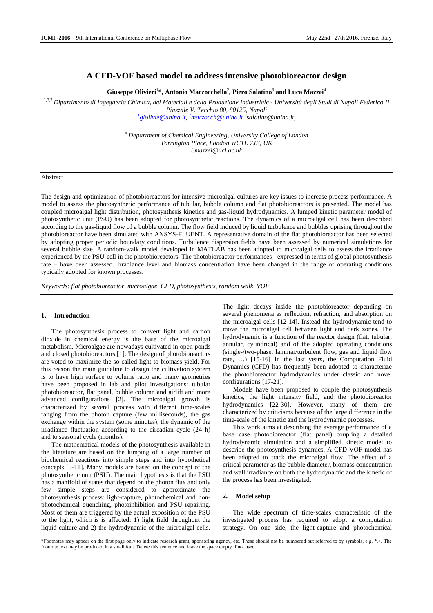# **A CFD-VOF based model to address intensive photobioreactor design**

 $\mathbf{Gi}$ useppe Olivieri $^{1\ast}$ , Antonio Marzocchella $^{2}$ , Piero Salatino $^{3}$  and Luca Mazzei $^{4}$ 

1,2,3 *Dipartimento di Ingegneria Chimica, dei Materiali e della Produzione Industriale - Università degli Studi di Napoli Federico II*

*Piazzale V. Tecchio 80, 80125, Napoli*

*1 giolivie@unina.it, <sup>2</sup>marzocch@unina.it <sup>3</sup> salatino@unina.it,*

<sup>4</sup> *Department of Chemical Engineering, University College of London Torrington Place, London WC1E 7JE, UK l.mazzei@ucl.ac.uk*

# Abstract

The design and optimization of photobioreactors for intensive microalgal cultures are key issues to increase process performance. A model to assess the photosynthetic performance of tubular, bubble column and flat photobioreactors is presented. The model has coupled microalgal light distribution, photosynthesis kinetics and gas-liquid hydrodynamics. A lumped kinetic parameter model of photosynthetic unit (PSU) has been adopted for photosynthetic reactions. The dynamics of a microalgal cell has been described according to the gas-liquid flow of a bubble column. The flow field induced by liquid turbulence and bubbles uprising throughout the photobioreactor have been simulated with ANSYS-FLUENT. A representative domain of the flat photobioreactor has been selected by adopting proper periodic boundary conditions. Turbulence dispersion fields have been assessed by numerical simulations for several bubble size. A random-walk model developed in MATLAB has been adopted to microalgal cells to assess the irradiance experienced by the PSU-cell in the photobioreactors. The photobioreactor performances - expressed in terms of global photosynthesis rate – have been assessed. Irradiance level and biomass concentration have been changed in the range of operating conditions typically adopted for known processes.

*Keywords: flat photobioreactor, microalgae, CFD, photosynthesis, random walk, VOF*

# **1. Introduction**

The photosynthesis process to convert light and carbon dioxide in chemical energy is the base of the microalgal metabolism. Microalgae are nowadays cultivated in open ponds and closed photobioreactors [1]. The design of photobioreactors are voted to maximize the so called light-to-biomass yield. For this reason the main guideline to design the cultivation system is to have high surface to volume ratio and many geometries have been proposed in lab and pilot investigations: tubular photobioreactor, flat panel, bubble column and airlift and more advanced configurations [2]. The microalgal growth is characterized by several process with different time-scales ranging from the photon capture (few milliseconds), the gas exchange within the system (some minutes), the dynamic of the irradiance fluctuation according to the circadian cycle (24 h) and to seasonal cycle (months).

The mathematical models of the photosynthesis available in the literature are based on the lumping of a large number of biochemical reactions into simple steps and into hypothetical concepts [3-11]. Many models are based on the concept of the photosynthetic unit (PSU). The main hypothesis is that the PSU has a manifold of states that depend on the photon flux and only few simple steps are considered to approximate the photosynthesis process: light-capture, photochemical and nonphotochemical quenching, photoinhibition and PSU repairing. Most of them are triggered by the actual exposition of the PSU to the light, which is is affected: 1) light field throughout the liquid culture and 2) the hydrodynamic of the microalgal cells.

The light decays inside the photobioreactor depending on several phenomena as reflection, refraction, and absorption on the microalgal cells [12-14]. Instead the hydrodynamic tend to move the microalgal cell between light and dark zones. The hydrodynamic is a function of the reactor design (flat, tubular, annular, cylindrical) and of the adopted operating conditions (single-/two-phase, laminar/turbulent flow, gas and liquid flow rate, …) [15-16] In the last years, the Computation Fluid Dynamics (CFD) has frequently been adopted to characterize the photobioreactor hydrodynamics under classic and novel configurations [17-21].

Models have been proposed to couple the photosynthesis kinetics, the light intensity field, and the photobioreactor hydrodynamics [22-30]. However, many of them are characterized by criticisms because of the large difference in the time-scale of the kinetic and the hydrodynamic processes.

This work aims at describing the average performance of a base case photobioreactor (flat panel) coupling a detailed hydrodynamic simulation and a simplified kinetic model to describe the photosynthesis dynamics. A CFD-VOF model has been adopted to track the microalgal flow. The effect of a critical parameter as the bubble diameter, biomass concentration and wall irradiance on both the hydrodynamic and the kinetic of the process has been investigated.

# **2. Model setup**

The wide spectrum of time-scales characteristic of the investigated process has required to adopt a computation strategy. On one side, the light-capture and photochemical

<sup>\*</sup>Footnotes may appear on the first page only to indicate research grant, sponsoring agency, etc. These should not be numbered but referred to by symbols, e.g. \*,+. The footnote text may be produced in a small font. Delete this sentence and leave the space empty if not used.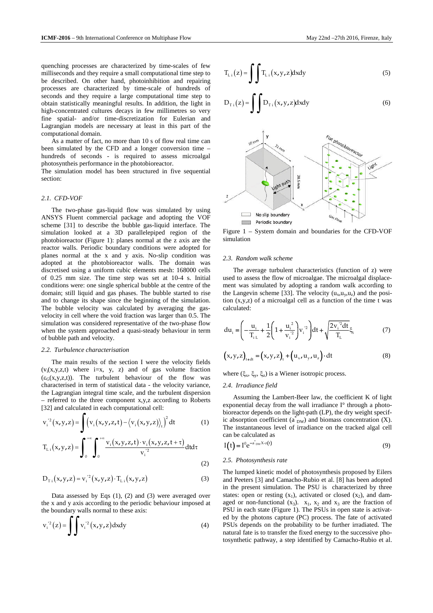quenching processes are characterized by time-scales of few milliseconds and they require a small computational time step to be described. On other hand, photoinhibition and repairing processes are characterized by time-scale of hundreds of seconds and they require a large computational time step to obtain statistically meaningful results. In addition, the light in high-concentrated cultures decays in few millimetres so very fine spatial- and/or time-discretization for Eulerian and Lagrangian models are necessary at least in this part of the computational domain.

As a matter of fact, no more than 10 s of flow real time can been simulated by the CFD and a longer conversion time – hundreds of seconds - is required to assess microalgal photosyntheis performance in the photobioreactor.

The simulation model has been structured in five sequential section:

# *2.1. CFD-VOF*

The two-phase gas-liquid flow was simulated by using ANSYS Fluent commercial package and adopting the VOF scheme [31] to describe the bubble gas-liquid interface. The simulation looked at a 3D parallelepiped region of the photobioreactor (Figure 1): planes normal at the z axis are the reactor walls. Periodic boundary conditions were adopted for planes normal at the x and y axis. No-slip condition was adopted at the photobioreactor walls. The domain was discretised using a uniform cubic elements mesh: 168000 cells of 0.25 mm size. The time step was set at 10-4 s. Initial conditions were: one single spherical bubble at the centre of the domain; still liquid and gas phases. The bubble started to rise and to change its shape since the beginning of the simulation. The bubble velocity was calculated by averaging the gasvelocity in cell where the void fraction was larger than 0.5. The simulation was considered representative of the two-phase flow when the system approached a quasi-steady behaviour in term of bubble path and velocity.

#### *2.2. Turbulence characterisation*

The main results of the section I were the velocity fields  $(v_i(x,y,z,t)$  where  $i=x, y, z)$  and of gas volume fraction  $(\varepsilon_G(x,y,z,t))$ . The turbulent behaviour of the flow was characterised in term of statistical data - the velocity variance, the Lagrangian integral time scale, and the turbulent dispersion – referred to the three component x,y,z according to Roberts [32] and calculated in each computational cell:

$$
v_i^2(x,y,z) = \int \left(v_i(x,y,z,t) - \left\langle v_i(x,y,z) \right\rangle_t \right)^2 dt
$$
 (1)

$$
T_{Li}(x,y,z) = \int_0^{+\infty} \int_0^{+\infty} \frac{v_i(x,y,z,t) \cdot v_i(x,y,z,t+\tau)}{v_i^{2}} dt d\tau
$$
\n(2)

$$
D_{T i}\left(x,y,z\right) = v_i^{\prime 2}\left(x,y,z\right) \cdot T_{Li}\left(x,y,z\right) \tag{3}
$$

Data assessed by Eqs (1), (2) and (3) were averaged over the x and y axis according to the periodic behaviour imposed at the boundary walls normal to these axis:

$$
v_i^2(z) = \int v_i^2(x, y, z) dxdy
$$
 (4)

$$
z = \int \int T_{1} (x, y, z) dxdy
$$
 (5)

$$
T_{L i}(z) = \int \int T_{L i}(x, y, z) dxdy
$$
 (5)

$$
D_{T i}(z) = \int D_{T i}(x, y, z) dxdy
$$
 (6)



Figure 1 – System domain and boundaries for the CFD-VOF simulation

# *2.3. Random walk scheme*

The average turbulent characteristics (function of z) were used to assess the flow of microalgae. The microalgal displacement was simulated by adopting a random walk according to the Langevin scheme [33]. The velocity  $(u_x, u_y, u_z)$  and the position (x,y,z) of a microalgal cell as a function of the time t was calculated:

$$
du_{i} = \left(-\frac{u_{i}}{T_{i L}} + \frac{1}{2}\left(1 + \frac{u_{i}^{2}}{v_{i}^{2}}\right)v_{i}^{2}\right)dt + \sqrt{\frac{2v_{i}^{2}dt}{T_{L}}}\xi_{i}
$$
(7)

$$
(x,y,z)_{t+dt} = (x,y,z)_t + (u_x, u_y, u_z) \cdot dt
$$
 (8)

where  $(\xi_x, \xi_y, \xi_z)$  is a Wiener isotropic process.

#### *2.4. Irradiance field*

Assuming the Lambert-Beer law, the coefficient K of light exponential decay from the wall irradiance I° through a photobioreactor depends on the light-path (LP), the dry weight specific absorption coefficient  $(a_{DW}^*)$  and biomass concentration (X). The instantaneous level of irradiance on the tracked algal cell can be calculated as

$$
I(t) = I^0 e^{-a^*_{DW} X \cdot z(t)}
$$
\n(9)

#### *2.5. Photosynthesis rate*

The lumped kinetic model of photosynthesis proposed by Eilers and Peeters [3] and Camacho-Rubio et al. [8] has been adopted in the present simulation. The PSU is characterized by three states: open or resting  $(x_1)$ , activated or closed  $(x_2)$ , and damaged or non-functional  $(x_3)$ .  $x_1$ ,  $x_2$  and  $x_3$  are the fraction of PSU in each state (Figure 1). The PSUs in open state is activated by the photons capture (PC) process. The fate of activated PSUs depends on the probability to be further irradiated. The natural fate is to transfer the fixed energy to the successive photosynthetic pathway, a step identified by Camacho-Rubio et al.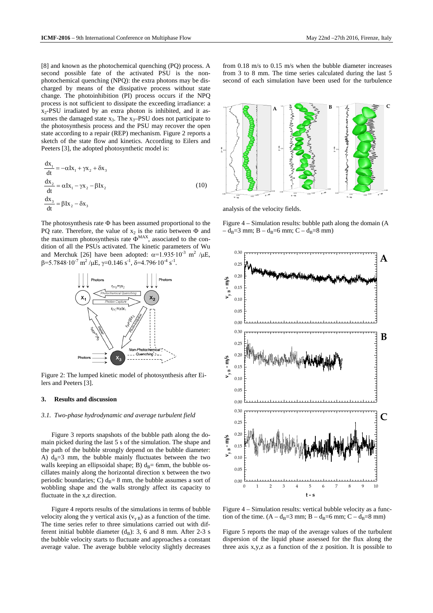[8] and known as the photochemical quenching (PQ) process. A second possible fate of the activated PSU is the nonphotochemical quenching (NPQ): the extra photons may be discharged by means of the dissipative process without state change. The photoinhibition (PI) process occurs if the NPQ process is not sufficient to dissipate the exceeding irradiance: a  $x_2$ -PSU irradiated by an extra photon is inhibited, and it assumes the damaged state  $x_3$ . The  $x_3$ -PSU does not participate to the photosynthesis process and the PSU may recover the open state according to a repair (REP) mechanism. Figure 2 reports a sketch of the state flow and kinetics. According to Eilers and Peeters [3], the adopted photosynthetic model is:

$$
\frac{dx_1}{dt} = -\alpha Ix_1 + \gamma x_2 + \delta x_3
$$
  

$$
\frac{dx_2}{dt} = \alpha Ix_1 - \gamma x_2 - \beta Ix_2
$$
  

$$
\frac{dx_3}{dt} = \beta Ix_2 - \delta x_3
$$
 (10)

The photosynthesis rate  $\Phi$  has been assumed proportional to the PQ rate. Therefore, the value of  $x_2$  is the ratio between  $\Phi$  and the maximum photosynthesis rate  $\Phi^{MAX}$ , associated to the condition of all the PSUs activated. The kinetic parameters of Wu and Merchuk [26] have been adopted:  $\alpha = 1.935 \cdot 10^{-3}$  m<sup>2</sup> /µE,  $\beta$ =5.7848∙10<sup>-7</sup> m<sup>2</sup> /µE,  $\gamma$ =0.146 s<sup>-1</sup>, δ=4.796∙10<sup>-4</sup> s<sup>-1</sup>.



Figure 2: The lumped kinetic model of photosynthesis after Eilers and Peeters [3].

#### **3. Results and discussion**

#### *3.1. Two-phase hydrodynamic and average turbulent field*

Figure 3 reports snapshots of the bubble path along the domain picked during the last 5 s of the simulation. The shape and the path of the bubble strongly depend on the bubble diameter: A)  $d_B=3$  mm, the bubble mainly fluctuates between the two walls keeping an ellipsoidal shape; B)  $d_B = 6$ mm, the bubble oscillates mainly along the horizontal direction x between the two periodic boundaries; C)  $d_B=8$  mm, the bubble assumes a sort of wobbling shape and the walls strongly affect its capacity to fluctuate in the x,z direction.

Figure 4 reports results of the simulations in terms of bubble velocity along the y vertical axis  $(v_{vB})$  as a function of the time. The time series refer to three simulations carried out with different initial bubble diameter  $(d_B)$ : 3, 6 and 8 mm. After 2-3 s the bubble velocity starts to fluctuate and approaches a constant average value. The average bubble velocity slightly decreases from 0.18 m/s to 0.15 m/s when the bubble diameter increases from 3 to 8 mm. The time series calculated during the last 5 second of each simulation have been used for the turbulence



analysis of the velocity fields.

Figure 4 – Simulation results: bubble path along the domain (A  $-d_B=3$  mm; B –  $d_B=6$  mm; C –  $d_B=8$  mm)



Figure 4 – Simulation results: vertical bubble velocity as a function of the time.  $(A - d_B = 3$  mm;  $B - d_B = 6$  mm;  $C - d_B = 8$  mm)

Figure 5 reports the map of the average values of the turbulent dispersion of the liquid phase assessed for the flux along the three axis x,y,z as a function of the z position. It is possible to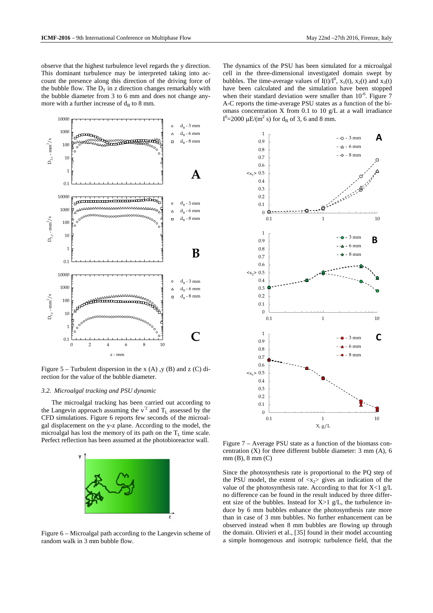observe that the highest turbulence level regards the y direction. This dominant turbulence may be interpreted taking into account the presence along this direction of the driving force of the bubble flow. The  $D_T$  in z direction changes remarkably with the bubble diameter from 3 to 6 mm and does not change anymore with a further increase of  $d_B$  to 8 mm.



Figure  $5$  – Turbulent dispersion in the x (A), y (B) and z (C) direction for the value of the bubble diameter.

#### *3.2. Microalgal tracking and PSU dynamic*

The microalgal tracking has been carried out according to the Langevin approach assuming the  $v^2$  and  $T_L$  assessed by the CFD simulations. Figure 6 reports few seconds of the microalgal displacement on the y-z plane. According to the model, the microalgal has lost the memory of its path on the  $T<sub>L</sub>$  time scale. Perfect reflection has been assumed at the photobioreactor wall.



Figure 6 – Microalgal path according to the Langevin scheme of random walk in 3 mm bubble flow.

The dynamics of the PSU has been simulated for a microalgal cell in the three-dimensional investigated domain swept by bubbles. The time-average values of  $I(t)/I^0$ ,  $x_1(t)$ ,  $x_2(t)$  and  $x_3(t)$ have been calculated and the simulation have been stopped when their standard deviation were smaller than  $10^{-6}$ . Figure 7 A-C reports the time-average PSU states as a function of the biomass concentration X from 0.1 to 10 g/L at a wall irradiance I<sup>0</sup>=2000 µE/(m<sup>2</sup> s) for d<sub>B</sub> of 3, 6 and 8 mm.



Figure 7 – Average PSU state as a function of the biomass concentration (X) for three different bubble diameter: 3 mm (A), 6 mm (B), 8 mm (C)

Since the photosynthesis rate is proportional to the PQ step of the PSU model, the extent of  $\langle x_2 \rangle$  gives an indication of the value of the photosynthesis rate. According to that for  $X < 1$  g/L no difference can be found in the result induced by three different size of the bubbles. Instead for  $X>1$  g/L, the turbulence induce by 6 mm bubbles enhance the photosynthesis rate more than in case of 3 mm bubbles. No further enhancement can be observed instead when 8 mm bubbles are flowing up through the domain. Olivieri et al., [35] found in their model accounting a simple homogenous and isotropic turbulence field, that the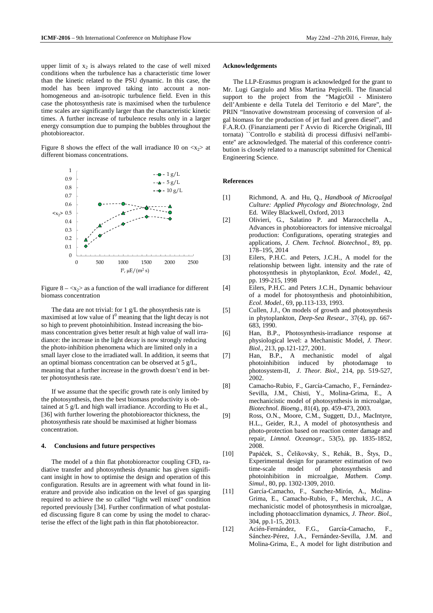upper limit of  $x_2$  is always related to the case of well mixed conditions when the turbulence has a characteristic time lower than the kinetic related to the PSU dynamic. In this case, the model has been improved taking into account a nonhomogeneous and an-isotropic turbulence field. Even in this case the photosynthesis rate is maximised when the turbulence time scales are significantly larger than the characteristic kinetic times. A further increase of turbulence results only in a larger energy consumption due to pumping the bubbles throughout the photobioreactor.

Figure 8 shows the effect of the wall irradiance I0 on  $\langle x_2 \rangle$  at different biomass concentrations.



Figure  $8 - \langle x_2 \rangle$  as a function of the wall irradiance for different biomass concentration

The data are not trivial: for 1 g/L the phosynthesis rate is maximised at low value of  $I^0$  meaning that the light decay is not so high to prevent photoinhibition. Instead increasing the biomass concentration gives better result at high value of wall irradiance: the increase in the light decay is now strongly reducing the photo-inhibition phenomena which are limited only in a small layer close to the irradiated wall. In addition, it seems that an optimal biomass concentration can be observed at 5 g/L, meaning that a further increase in the growth doesn't end in better photosynthesis rate.

If we assume that the specific growth rate is only limited by the photosynthesis, then the best biomass productivity is obtained at 5 g/L and high wall irradiance. According to Hu et al., [36] with further lowering the photobioreactor thickness, the photosynthesis rate should be maximised at higher biomass concentration.

#### **4. Conclusions and future perspectives**

The model of a thin flat photobioreactor coupling CFD, radiative transfer and photosynthesis dynamic has given significant insight in how to optimise the design and operation of this configuration. Results are in agreement with what found in literature and provide also indication on the level of gas sparging required to achieve the so called "light well mixed" condition reported previously [34]. Further confirmation of what postulated discussing figure 8 can come by using the model to characterise the effect of the light path in thin flat photobioreactor.

# **Acknowledgements**

The LLP-Erasmus program is acknowledged for the grant to Mr. Lugi Gargiulo and Miss Martina Pepicelli. The financial support to the project from the "MagicOil - Ministero dell'Ambiente e della Tutela del Territorio e del Mare", the PRIN "Innovative downstream processing of conversion of algal biomass for the production of jet fuel and green diesel", and F.A.R.O. (Finanziamenti per l' Avvio di Ricerche Originali, III tornata) ``Controllo e stabilità di processi diffusivi nell'ambiente'' are acknowledged. The material of this conference contribution is closely related to a manuscript submitted for Chemical Engineering Science.

# **References**

- [1] Richmond, A. and Hu, Q., *Handbook of Microalgal Culture: Applied Phycology and Biotechnology,* 2nd Ed. Wiley Blackwell, Oxford, 2013
- [2] Olivieri, G., Salatino P. and Marzocchella A., Advances in photobioreactors for intensive microalgal production: Configurations, operating strategies and applications, *J. Chem. Technol. Biotechnol.*, 89, pp. 178–195, 2014
- [3] Eilers, P.H.C. and Peters, J.C.H., A model for the relationship between light. intensity and the rate of photosynthesis in phytoplankton, *Ecol. Model.*, 42, pp. 199-215, 1998
- [4] Eilers, P.H.C. and Peters J.C.H., Dynamic behaviour of a model for photosynthesis and photoinhibition, *Ecol. Model.*, 69, pp.113-133, 1993.
- [5] Cullen, J.J., On models of growth and photosynthesis in phytoplankton, *Deep-Sea Resear.*, 37(4), pp. 667- 683, 1990.
- [6] Han, B.P., Photosynthesis-irradiance response at physiological level: a Mechanistic Model, *J. Theor. Biol.*, 213, pp.121-127, 2001.
- [7] Han, B.P., A mechanistic model of algal photoinhibition induced by photodamage to photosystem-II, *J. Theor. Biol.*, 214, pp. 519-527, 2002.
- [8] Camacho-Rubio, F., García-Camacho, F., Fernández-Sevilla, J.M., Chisti, Y., Molina-Grima, E., A mechanicistic model of photosynthesis in microalgae, *Biotechnol. Bioeng.*, 81(4), pp. 459-473, 2003.
- [9] Ross, O.N., Moore, C.M., Suggett, D.J., MacIntyre, H.L., Geider, R.J., A model of photosynthesis and photo-protection based on reaction center damage and repair, *Limnol. Oceanogr.*, 53(5), pp. 1835-1852, 2008.
- [10] Papáček, S., Čelikovsky, S., Rehák, B., Štys, D., Experimental design for parameter estimation of two<br>time-scale model of photosynthesis and time-scale model of photosynthesis and photoinhibition in microalgae, *Mathem. Comp. Simul*., 80, pp. 1302-1309, 2010.
- [11] García-Camacho, F., Sanchez-Mirón, A., Molina-Grima, E., Camacho-Rubio, F., Merchuk, J.C., A mechanicistic model of photosynthesis in microalgae, including photoacclimation dynamics, *J. Theor. Biol.*, 304, pp.1-15, 2013.
- [12] Acién-Fernández, F.G., García-Camacho, F., Sánchez-Pérez, J.A., Fernández-Sevilla, J.M. and Molina-Grima, E., A model for light distribution and